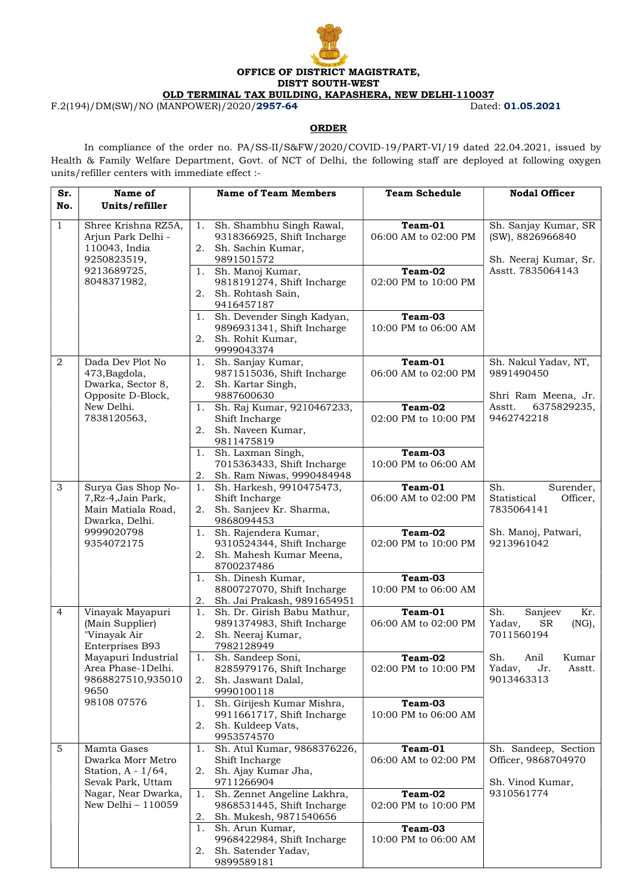

## **ORDER**

F.2(194)/DM(SW)/NO (MANPOWER)/2020/2957-64

 In compliance of the order no. PA/SS-II/S&FW/2020/COVID-19/PART-VI/19 dated 22.04.2021, issued by Health & Family Welfare Department, Govt. of NCT of Delhi, the following staff are deployed at following oxygen units/refiller centers with immediate effect :-

| Sr.<br>No.     | Name of<br>Units/refiller                                                                                                   | <b>Name of Team Members</b>                                                                                          | <b>Team Schedule</b>                       | <b>Nodal Officer</b>                                                                   |
|----------------|-----------------------------------------------------------------------------------------------------------------------------|----------------------------------------------------------------------------------------------------------------------|--------------------------------------------|----------------------------------------------------------------------------------------|
| $\mathbf{1}$   | Shree Krishna RZ5A,<br>Arjun Park Delhi -<br>110043, India<br>9250823519,<br>9213689725,<br>8048371982,                     | Sh. Shambhu Singh Rawal,<br>1.<br>9318366925, Shift Incharge<br>2.<br>Sh. Sachin Kumar,<br>9891501572                | Team-01<br>06:00 AM to 02:00 PM            | Sh. Sanjay Kumar, SR<br>(SW), 8826966840<br>Sh. Neeraj Kumar, Sr.<br>Asstt. 7835064143 |
|                |                                                                                                                             | Sh. Manoj Kumar,<br>1.<br>9818191274, Shift Incharge<br>2.<br>Sh. Rohtash Sain,<br>9416457187                        | Team-02<br>02:00 PM to 10:00 PM            |                                                                                        |
|                |                                                                                                                             | Sh. Devender Singh Kadyan,<br>1.<br>9896931341, Shift Incharge<br>2.<br>Sh. Rohit Kumar,<br>9999043374               | Team-03<br>10:00 PM to 06:00 AM            |                                                                                        |
| 2              | Dada Dev Plot No<br>473, Bagdola,<br>Dwarka, Sector 8,<br>Opposite D-Block,<br>New Delhi.<br>7838120563,                    | Sh. Sanjay Kumar,<br>1.<br>9871515036, Shift Incharge<br>2.<br>Sh. Kartar Singh,<br>9887600630                       | Team-01<br>06:00 AM to 02:00 PM            | Sh. Nakul Yadav, NT,<br>9891490450<br>Shri Ram Meena, Jr.                              |
|                |                                                                                                                             | Sh. Raj Kumar, 9210467233,<br>1.<br>Shift Incharge<br>Sh. Naveen Kumar,<br>2.<br>9811475819                          | Team-02<br>02:00 PM to 10:00 PM            | Asstt.<br>6375829235,<br>9462742218                                                    |
|                |                                                                                                                             | Sh. Laxman Singh,<br>1.<br>7015363433, Shift Incharge<br>2.<br>Sh. Ram Niwas, 9990484948<br>Sh. Harkesh, 9910475473, | Team-03<br>10:00 PM to 06:00 AM<br>Team-01 | Sh.                                                                                    |
| 3              | Surya Gas Shop No-<br>7, Rz-4, Jain Park,<br>Main Matiala Road,<br>Dwarka, Delhi.<br>9999020798<br>9354072175               | 1.<br>Shift Incharge<br>2.<br>Sh. Sanjeev Kr. Sharma,<br>9868094453                                                  | 06:00 AM to 02:00 PM                       | Surender,<br>Statistical<br>Officer,<br>7835064141                                     |
|                |                                                                                                                             | Sh. Rajendera Kumar,<br>1.<br>9310524344, Shift Incharge<br>2.<br>Sh. Mahesh Kumar Meena,<br>8700237486              | Team-02<br>02:00 PM to 10:00 PM            | Sh. Manoj, Patwari,<br>9213961042                                                      |
|                |                                                                                                                             | Sh. Dinesh Kumar,<br>1.<br>8800727070, Shift Incharge<br>2.<br>Sh. Jai Prakash, 9891654951                           | Team-03<br>10:00 PM to 06:00 AM            |                                                                                        |
| $\overline{4}$ | Vinayak Mayapuri<br>(Main Supplier)<br>"Vinayak Air<br>Enterprises B93                                                      | 1.<br>Sh. Dr. Girish Babu Mathur,<br>9891374983, Shift Incharge<br>Sh. Neeraj Kumar,<br>2.<br>7982128949             | Team-01<br>06:00 AM to 02:00 PM            | Sh.<br>Sanjeev<br>Kr.<br>Yadav,<br><b>SR</b><br>$(NG)$ ,<br>7011560194                 |
|                | Mayapuri Industrial<br>Area Phase-1Delhi.<br>9868827510,935010<br>9650                                                      | 1.<br>Sh. Sandeep Soni,<br>8285979176, Shift Incharge<br>2.<br>Sh. Jaswant Dalal,<br>9990100118                      | Team-02<br>02:00 PM to 10:00 PM            | Sh.<br>Anil<br>Kumar<br>Yadav,<br>Jr.<br>Asstt.<br>9013463313                          |
|                | 98108 07576                                                                                                                 | Sh. Girijesh Kumar Mishra,<br>1.<br>9911661717, Shift Incharge<br>2.<br>Sh. Kuldeep Vats,<br>9953574570              | Team-03<br>10:00 PM to 06:00 AM            |                                                                                        |
| 5              | Mamta Gases<br>Dwarka Morr Metro<br>Station, $A - 1/64$ ,<br>Sevak Park, Uttam<br>Nagar, Near Dwarka,<br>New Delhi - 110059 | Sh. Atul Kumar, 9868376226,<br>1.<br>Shift Incharge<br>2.<br>Sh. Ajay Kumar Jha,<br>9711266904                       | Team-01<br>06:00 AM to 02:00 PM            | Sh. Sandeep, Section<br>Officer, 9868704970<br>Sh. Vinod Kumar,                        |
|                |                                                                                                                             | Sh. Zennet Angeline Lakhra,<br>1.<br>9868531445, Shift Incharge<br>2.<br>Sh. Mukesh, 9871540656                      | Team-02<br>02:00 PM to 10:00 PM            | 9310561774                                                                             |
|                |                                                                                                                             | Sh. Arun Kumar,<br>1.<br>9968422984, Shift Incharge<br>2.<br>Sh. Satender Yadav,<br>9899589181                       | Team-03<br>10:00 PM to 06:00 AM            |                                                                                        |